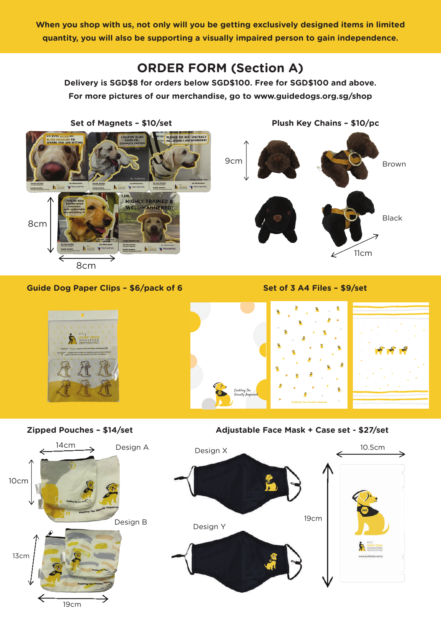**When you shop with us, not only will you be getting exclusively designed items in limited quantity, you will also be supporting a visually impaired person to gain independence.**

## **ORDER FORM (Section A)**

**Delivery is SGD\$8 for orders below SGD\$100. Free for SGD\$100 and above. For more pictures of our merchandise, go to www.guidedogs.org.sg/shop**

**MY EVES** 9cm h in you HIGHLY TRAINED &

Set of Magnets - \$10/set Plush Key Chains - \$10/pc



## Guide Dog Paper Clips - \$6/pack of 6 Set of 3 A4 Files - \$9/set

8cm

8cm

10cm



Zipped Pouches - \$14/set Adjustable Face Mask + Case set - \$27/set

Design A

14cm

∠